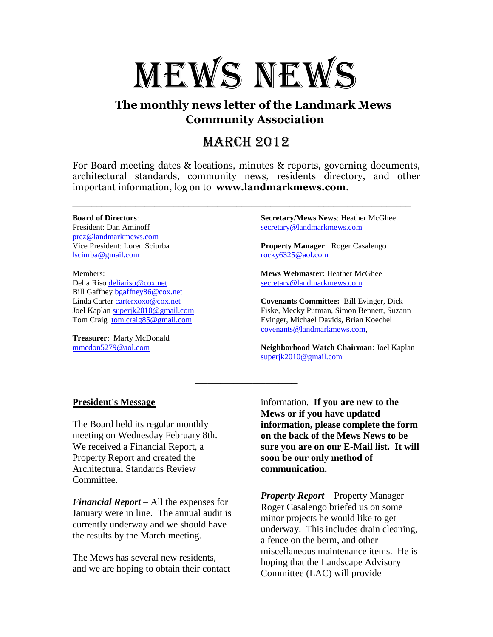

## **The monthly news letter of the Landmark Mews Community Association**

# March 2012

For Board meeting dates & locations, minutes & reports, governing documents, architectural standards, community news, residents directory, and other important information, log on to **www.landmarkmews.com**.

\_\_\_\_\_\_\_\_\_\_\_\_\_\_\_\_\_\_\_\_\_\_\_\_\_\_\_\_\_\_\_\_\_\_\_\_\_\_\_\_\_\_\_\_\_\_\_\_\_\_\_\_\_\_\_\_\_\_\_\_\_\_\_\_\_\_\_\_\_\_

\_\_\_\_\_\_\_\_\_\_\_\_\_\_\_\_

#### **Board of Directors**:

President: Dan Aminoff [prez@landmarkmews.com](file:///C:/Documents%20and%20Settings/hmcghee/Local%20Settings/Temporary%20Internet%20Files/Content.IE5/C7SWZDPL/prez@landmarkmews.com) Vice President: Loren Sciurba [lsciurba@gmail.com](file:///C:/Documents%20and%20Settings/hmcghee/Local%20Settings/Temporary%20Internet%20Files/Content.IE5/UJ34L0H5/lsciurba@gmail.com)

Members: Delia Riso [deliariso@cox.net](mailto:deliariso@cox.net) Bill Gaffney [bgaffney86@cox.net](mailto:bgaffney86@cox.net) Linda Carter [carterxoxo@cox.net](mailto:carterxoxo@cox.net) Joel Kaplan [superjk2010@gmail.com](mailto:superjk2010@gmail.com) Tom Craig [tom.craig85@gmail.com](mailto:tom.craig85@gmail.com)

**Treasurer**: Marty McDonald [mmcdon5279@aol.com](mailto:mmcdon5279@aol.com)

**Secretary/Mews News**: Heather McGhee [secretary@landmarkmews.com](mailto:secretary@landmarkmews.com)

**Property Manager**: Roger Casalengo [rocky6325@aol.com](mailto:rocky6325@aol.com)

**Mews Webmaster**: Heather McGhee [secretary@landmarkmews.com](mailto:secretary@landmarkmews.com)

**Covenants Committee:** Bill Evinger, Dick Fiske, Mecky Putman, Simon Bennett, Suzann Evinger, Michael Davids, Brian Koechel [covenants@landmarkmews.com,](file:///C:/Documents%20and%20Settings/hmcghee/Local%20Settings/Temporary%20Internet%20Files/Content.IE5/C7SWZDPL/covenants@landmarkmews.com)

**Neighborhood Watch Chairman**: Joel Kaplan [superjk2010@gmail.com](mailto:superjk2010@gmail.com)

### **President's Message**

The Board held its regular monthly meeting on Wednesday February 8th. We received a Financial Report, a Property Report and created the Architectural Standards Review Committee.

*Financial Report* – All the expenses for January were in line. The annual audit is currently underway and we should have the results by the March meeting.

The Mews has several new residents, and we are hoping to obtain their contact

information. **If you are new to the Mews or if you have updated information, please complete the form on the back of the Mews News to be sure you are on our E-Mail list. It will soon be our only method of communication.**

*Property Report* – Property Manager Roger Casalengo briefed us on some minor projects he would like to get underway. This includes drain cleaning, a fence on the berm, and other miscellaneous maintenance items. He is hoping that the Landscape Advisory Committee (LAC) will provide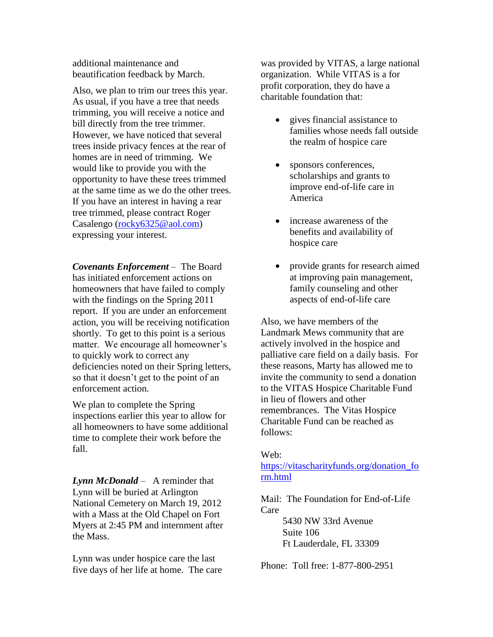additional maintenance and beautification feedback by March.

Also, we plan to trim our trees this year. As usual, if you have a tree that needs trimming, you will receive a notice and bill directly from the tree trimmer. However, we have noticed that several trees inside privacy fences at the rear of homes are in need of trimming. We would like to provide you with the opportunity to have these trees trimmed at the same time as we do the other trees. If you have an interest in having a rear tree trimmed, please contract Roger Casalengo [\(rocky6325@aol.com\)](mailto:rocky6325@aol.com) expressing your interest.

*Covenants Enforcement* – The Board has initiated enforcement actions on homeowners that have failed to comply with the findings on the Spring 2011 report. If you are under an enforcement action, you will be receiving notification shortly. To get to this point is a serious matter. We encourage all homeowner's to quickly work to correct any deficiencies noted on their Spring letters, so that it doesn't get to the point of an enforcement action.

We plan to complete the Spring inspections earlier this year to allow for all homeowners to have some additional time to complete their work before the fall.

*Lynn McDonald* – A reminder that Lynn will be buried at Arlington National Cemetery on March 19, 2012 with a Mass at the Old Chapel on Fort Myers at 2:45 PM and internment after the Mass.

Lynn was under hospice care the last five days of her life at home. The care was provided by VITAS, a large national organization. While VITAS is a for profit corporation, they do have a charitable foundation that:

- gives financial assistance to families whose needs fall outside the realm of hospice care
- sponsors conferences, scholarships and grants to improve end-of-life care in America
- increase awareness of the benefits and availability of hospice care
- provide grants for research aimed at improving pain management, family counseling and other aspects of end-of-life care

Also, we have members of the Landmark Mews community that are actively involved in the hospice and palliative care field on a daily basis. For these reasons, Marty has allowed me to invite the community to send a donation to the VITAS Hospice Charitable Fund in lieu of flowers and other remembrances. The Vitas Hospice Charitable Fund can be reached as follows:

#### Web:

[https://vitascharityfunds.org/donation\\_fo](https://vitascharityfunds.org/donation_form.html) [rm.html](https://vitascharityfunds.org/donation_form.html)

Mail: The Foundation for End-of-Life Care

> 5430 NW 33rd Avenue Suite 106 Ft Lauderdale, FL 33309

Phone: Toll free: 1-877-800-2951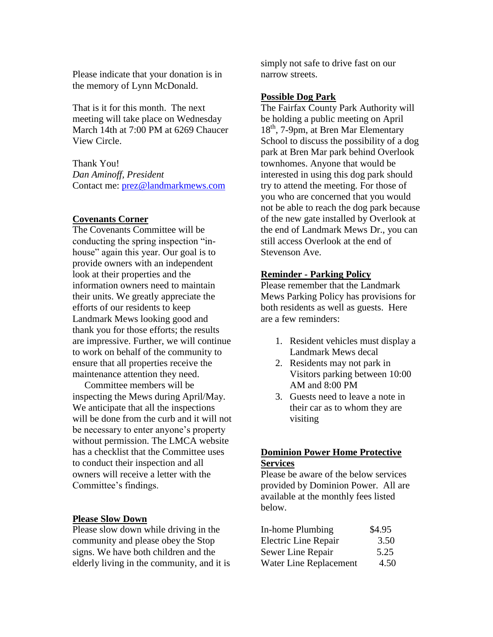Please indicate that your donation is in the memory of Lynn McDonald.

That is it for this month. The next meeting will take place on Wednesday March 14th at 7:00 PM at 6269 Chaucer View Circle.

Thank You! *Dan Aminoff, President* Contact me: [prez@landmarkmews.com](mailto:prez@landmarkmews.com)

#### **Covenants Corner**

The Covenants Committee will be conducting the spring inspection "inhouse" again this year. Our goal is to provide owners with an independent look at their properties and the information owners need to maintain their units. We greatly appreciate the efforts of our residents to keep Landmark Mews looking good and thank you for those efforts; the results are impressive. Further, we will continue to work on behalf of the community to ensure that all properties receive the maintenance attention they need.

 Committee members will be inspecting the Mews during April/May. We anticipate that all the inspections will be done from the curb and it will not be necessary to enter anyone's property without permission. The LMCA website has a checklist that the Committee uses to conduct their inspection and all owners will receive a letter with the Committee's findings.

#### **Please Slow Down**

Please slow down while driving in the community and please obey the Stop signs. We have both children and the elderly living in the community, and it is simply not safe to drive fast on our narrow streets.

#### **Possible Dog Park**

The Fairfax County Park Authority will be holding a public meeting on April  $18<sup>th</sup>$ , 7-9pm, at Bren Mar Elementary School to discuss the possibility of a dog park at Bren Mar park behind Overlook townhomes. Anyone that would be interested in using this dog park should try to attend the meeting. For those of you who are concerned that you would not be able to reach the dog park because of the new gate installed by Overlook at the end of Landmark Mews Dr., you can still access Overlook at the end of Stevenson Ave.

#### **Reminder - Parking Policy**

Please remember that the Landmark Mews Parking Policy has provisions for both residents as well as guests. Here are a few reminders:

- 1. Resident vehicles must display a Landmark Mews decal
- 2. Residents may not park in Visitors parking between 10:00 AM and 8:00 PM
- 3. Guests need to leave a note in their car as to whom they are visiting

### **Dominion Power Home Protective Services**

Please be aware of the below services provided by Dominion Power. All are available at the monthly fees listed below.

| In-home Plumbing       | \$4.95 |
|------------------------|--------|
| Electric Line Repair   | 3.50   |
| Sewer Line Repair      | 5.25   |
| Water Line Replacement | 4.50   |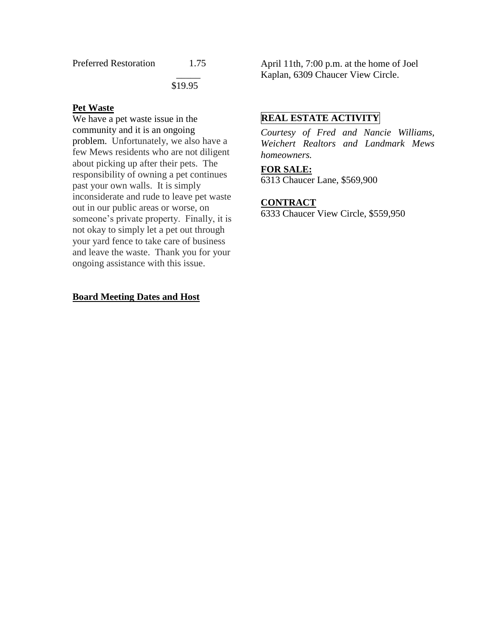\_\_\_\_\_

\$19.95

### **Pet Waste**

We have a pet waste issue in the community and it is an ongoing problem. Unfortunately, we also have a few Mews residents who are not diligent about picking up after their pets. The responsibility of owning a pet continues past your own walls. It is simply inconsiderate and rude to leave pet waste out in our public areas or worse, on someone's private property. Finally, it is not okay to simply let a pet out through your yard fence to take care of business and leave the waste. Thank you for your ongoing assistance with this issue.

### **Board Meeting Dates and Host**

April 11th, 7:00 p.m. at the home of Joel Kaplan, 6309 Chaucer View Circle.

## **REAL ESTATE ACTIVITY**

*Courtesy of Fred and Nancie Williams, Weichert Realtors and Landmark Mews homeowners.*

## **FOR SALE:**

6313 Chaucer Lane, \$569,900

#### **CONTRACT**

6333 Chaucer View Circle, \$559,950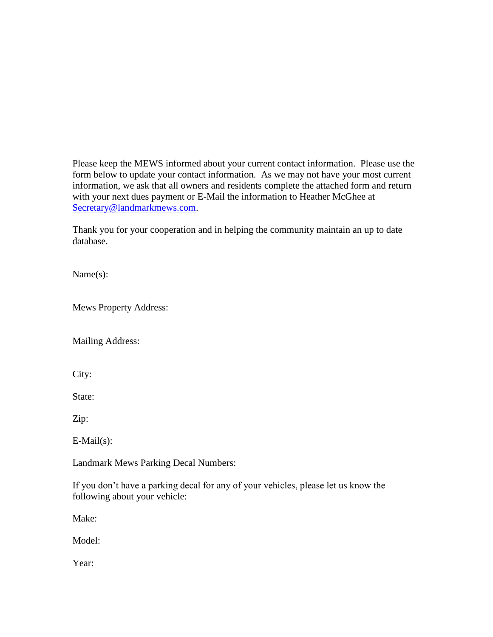Please keep the MEWS informed about your current contact information. Please use the form below to update your contact information. As we may not have your most current information, we ask that all owners and residents complete the attached form and return with your next dues payment or E-Mail the information to Heather McGhee at [Secretary@landmarkmews.com.](mailto:Secretary@landmarkmews.com)

Thank you for your cooperation and in helping the community maintain an up to date database.

Name(s):

Mews Property Address:

Mailing Address:

City:

State:

Zip:

E-Mail(s):

Landmark Mews Parking Decal Numbers:

If you don't have a parking decal for any of your vehicles, please let us know the following about your vehicle:

Make:

Model:

Year: